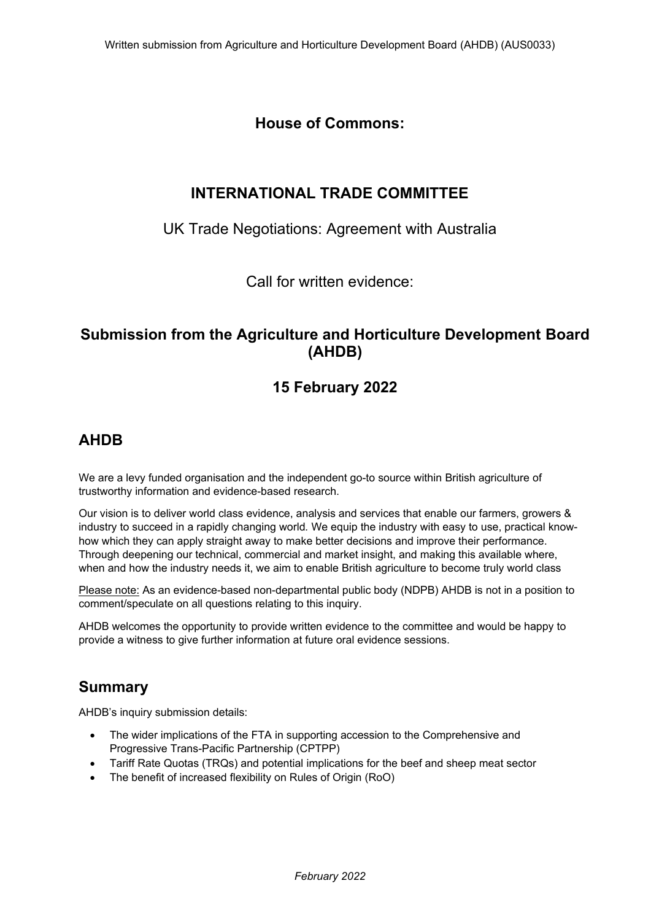# **House of Commons:**

# **INTERNATIONAL TRADE COMMITTEE**

### UK Trade Negotiations: Agreement with Australia

Call for written evidence:

## **Submission from the Agriculture and Horticulture Development Board (AHDB)**

# **15 February 2022**

## **AHDB**

We are a levy funded organisation and the independent go-to source within British agriculture of trustworthy information and evidence-based research.

Our vision is to deliver world class evidence, analysis and services that enable our farmers, growers & industry to succeed in a rapidly changing world*.* We equip the industry with easy to use, practical knowhow which they can apply straight away to make better decisions and improve their performance. Through deepening our technical, commercial and market insight, and making this available where, when and how the industry needs it, we aim to enable British agriculture to become truly world class

Please note: As an evidence-based non-departmental public body (NDPB) AHDB is not in a position to comment/speculate on all questions relating to this inquiry.

AHDB welcomes the opportunity to provide written evidence to the committee and would be happy to provide a witness to give further information at future oral evidence sessions.

### **Summary**

AHDB's inquiry submission details:

- The wider implications of the FTA in supporting accession to the Comprehensive and Progressive Trans-Pacific Partnership (CPTPP)
- Tariff Rate Quotas (TRQs) and potential implications for the beef and sheep meat sector
- The benefit of increased flexibility on Rules of Origin (RoO)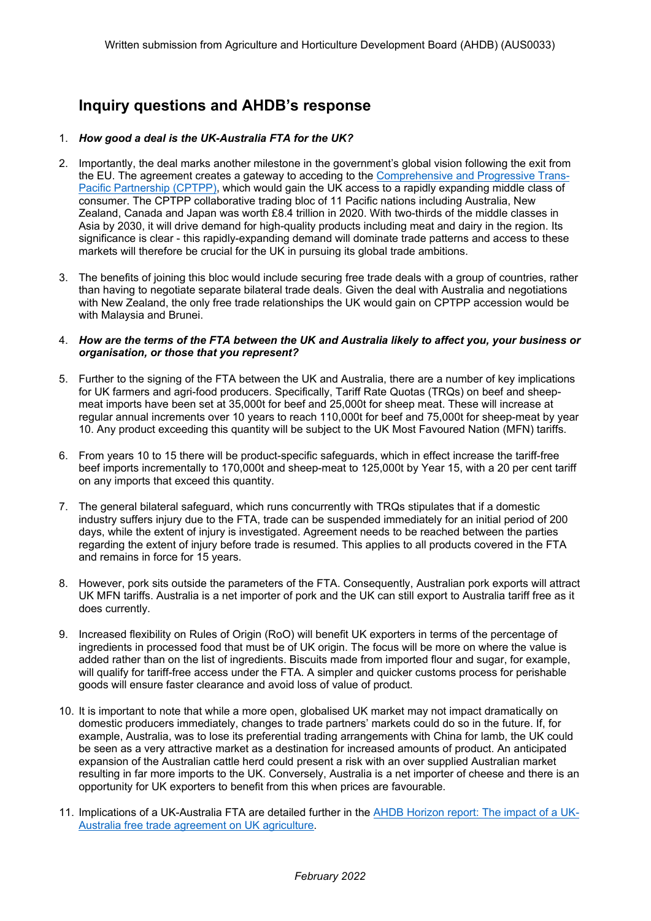# **Inquiry questions and AHDB's response**

### 1. *How good a deal is the UK-Australia FTA for the UK?*

- 2. Importantly, the deal marks another milestone in the government's global vision following the exit from the EU. The agreement creates a gateway to acceding to the [Comprehensive](https://ahdb.org.uk/news/eu-exit-perspectives-joining-cptpp-what-could-it-mean-for-uk-agriculture) [and](https://ahdb.org.uk/news/eu-exit-perspectives-joining-cptpp-what-could-it-mean-for-uk-agriculture) [Progressive](https://ahdb.org.uk/news/eu-exit-perspectives-joining-cptpp-what-could-it-mean-for-uk-agriculture) [Trans-](https://ahdb.org.uk/news/eu-exit-perspectives-joining-cptpp-what-could-it-mean-for-uk-agriculture)[Pacific](https://ahdb.org.uk/news/eu-exit-perspectives-joining-cptpp-what-could-it-mean-for-uk-agriculture) [Partnership](https://ahdb.org.uk/news/eu-exit-perspectives-joining-cptpp-what-could-it-mean-for-uk-agriculture) [\(CPTPP\)](https://ahdb.org.uk/news/eu-exit-perspectives-joining-cptpp-what-could-it-mean-for-uk-agriculture)**,** which would gain the UK access to a rapidly expanding middle class of consumer. The CPTPP collaborative trading bloc of 11 Pacific nations including Australia, New Zealand, Canada and Japan was worth £8.4 trillion in 2020. With two-thirds of the middle classes in Asia by 2030, it will drive demand for high-quality products including meat and dairy in the region. Its significance is clear - this rapidly-expanding demand will dominate trade patterns and access to these markets will therefore be crucial for the UK in pursuing its global trade ambitions.
- 3. The benefits of joining this bloc would include securing free trade deals with a group of countries, rather than having to negotiate separate bilateral trade deals. Given the deal with Australia and negotiations with New Zealand, the only free trade relationships the UK would gain on CPTPP accession would be with Malaysia and Brunei.

#### 4. How are the terms of the FTA between the UK and Australia likely to affect you, your business or *organisation, or those that you represent?*

- 5. Further to the signing of the FTA between the UK and Australia, there are a number of key implications for UK farmers and agri-food producers. Specifically, Tariff Rate Quotas (TRQs) on beef and sheepmeat imports have been set at 35,000t for beef and 25,000t for sheep meat. These will increase at regular annual increments over 10 years to reach 110,000t for beef and 75,000t for sheep-meat by year 10. Any product exceeding this quantity will be subject to the UK Most Favoured Nation (MFN) tariffs.
- 6. From years 10 to 15 there will be product-specific safeguards, which in effect increase the tariff-free beef imports incrementally to 170,000t and sheep-meat to 125,000t by Year 15, with a 20 per cent tariff on any imports that exceed this quantity.
- 7. The general bilateral safeguard, which runs concurrently with TRQs stipulates that if a domestic industry suffers injury due to the FTA, trade can be suspended immediately for an initial period of 200 days, while the extent of injury is investigated. Agreement needs to be reached between the parties regarding the extent of injury before trade is resumed. This applies to all products covered in the FTA and remains in force for 15 years.
- 8. However, pork sits outside the parameters of the FTA. Consequently, Australian pork exports will attract UK MFN tariffs. Australia is a net importer of pork and the UK can still export to Australia tariff free as it does currently.
- 9. Increased flexibility on Rules of Origin (RoO) will benefit UK exporters in terms of the percentage of ingredients in processed food that must be of UK origin. The focus will be more on where the value is added rather than on the list of ingredients. Biscuits made from imported flour and sugar, for example, will qualify for tariff-free access under the FTA. A simpler and quicker customs process for perishable goods will ensure faster clearance and avoid loss of value of product.
- 10. It is important to note that while a more open, globalised UK market may not impact dramatically on domestic producers immediately, changes to trade partners' markets could do so in the future. If, for example, Australia, was to lose its preferential trading arrangements with China for lamb, the UK could be seen as a very attractive market as a destination for increased amounts of product. An anticipated expansion of the Australian cattle herd could present a risk with an over supplied Australian market resulting in far more imports to the UK. Conversely, Australia is a net importer of cheese and there is an opportunity for UK exporters to benefit from this when prices are favourable.
- 11. Implications of a UK-Australia FTA are detailed further in the [AHDB](https://projectblue.blob.core.windows.net/media/Default/Market%20Insight/HorizonImpactofUK-AustraliaTrade_211019_WEB.pdf) [Horizon](https://projectblue.blob.core.windows.net/media/Default/Market%20Insight/HorizonImpactofUK-AustraliaTrade_211019_WEB.pdf) [report:](https://projectblue.blob.core.windows.net/media/Default/Market%20Insight/HorizonImpactofUK-AustraliaTrade_211019_WEB.pdf) [The](https://projectblue.blob.core.windows.net/media/Default/Market%20Insight/HorizonImpactofUK-AustraliaTrade_211019_WEB.pdf) [impact](https://projectblue.blob.core.windows.net/media/Default/Market%20Insight/HorizonImpactofUK-AustraliaTrade_211019_WEB.pdf) [of](https://projectblue.blob.core.windows.net/media/Default/Market%20Insight/HorizonImpactofUK-AustraliaTrade_211019_WEB.pdf) [a](https://projectblue.blob.core.windows.net/media/Default/Market%20Insight/HorizonImpactofUK-AustraliaTrade_211019_WEB.pdf) [UK-](https://projectblue.blob.core.windows.net/media/Default/Market%20Insight/HorizonImpactofUK-AustraliaTrade_211019_WEB.pdf)[Australia](https://projectblue.blob.core.windows.net/media/Default/Market%20Insight/HorizonImpactofUK-AustraliaTrade_211019_WEB.pdf) [free](https://projectblue.blob.core.windows.net/media/Default/Market%20Insight/HorizonImpactofUK-AustraliaTrade_211019_WEB.pdf) [trade](https://projectblue.blob.core.windows.net/media/Default/Market%20Insight/HorizonImpactofUK-AustraliaTrade_211019_WEB.pdf) [agreement](https://projectblue.blob.core.windows.net/media/Default/Market%20Insight/HorizonImpactofUK-AustraliaTrade_211019_WEB.pdf) [on](https://projectblue.blob.core.windows.net/media/Default/Market%20Insight/HorizonImpactofUK-AustraliaTrade_211019_WEB.pdf) [UK](https://projectblue.blob.core.windows.net/media/Default/Market%20Insight/HorizonImpactofUK-AustraliaTrade_211019_WEB.pdf) [agriculture](https://projectblue.blob.core.windows.net/media/Default/Market%20Insight/HorizonImpactofUK-AustraliaTrade_211019_WEB.pdf).